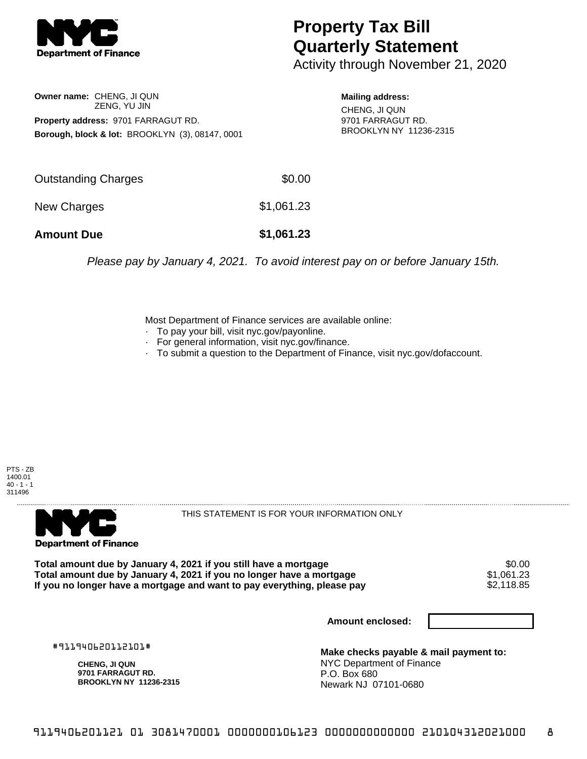

## **Property Tax Bill Quarterly Statement**

Activity through November 21, 2020

**Owner name:** CHENG, JI QUN ZENG, YU JIN **Property address:** 9701 FARRAGUT RD. **Borough, block & lot:** BROOKLYN (3), 08147, 0001

**Mailing address:** CHENG, JI QUN 9701 FARRAGUT RD. BROOKLYN NY 11236-2315

| <b>Amount Due</b>   | \$1,061.23 |
|---------------------|------------|
| New Charges         | \$1,061.23 |
| Outstanding Charges | \$0.00     |

Please pay by January 4, 2021. To avoid interest pay on or before January 15th.

Most Department of Finance services are available online:

- · To pay your bill, visit nyc.gov/payonline.
- For general information, visit nyc.gov/finance.
- · To submit a question to the Department of Finance, visit nyc.gov/dofaccount.

PTS - ZB 1400.01  $40 - 1 - 1$ 311496



THIS STATEMENT IS FOR YOUR INFORMATION ONLY

Total amount due by January 4, 2021 if you still have a mortgage \$0.00<br>Total amount due by January 4, 2021 if you no longer have a mortgage \$1.061.23 **Total amount due by January 4, 2021 if you no longer have a mortgage**  $$1,061.23$$ **<br>If you no longer have a mortgage and want to pay everything, please pay**  $$2,118.85$$ If you no longer have a mortgage and want to pay everything, please pay

**Amount enclosed:**

#911940620112101#

**CHENG, JI QUN 9701 FARRAGUT RD. BROOKLYN NY 11236-2315**

**Make checks payable & mail payment to:** NYC Department of Finance P.O. Box 680 Newark NJ 07101-0680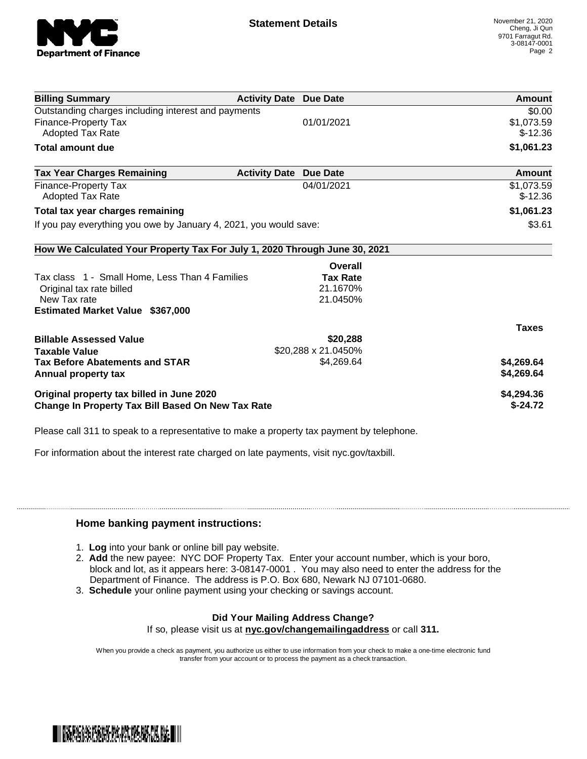

| <b>Billing Summary</b>                                                     | <b>Activity Date Due Date</b> |                     | Amount       |
|----------------------------------------------------------------------------|-------------------------------|---------------------|--------------|
| Outstanding charges including interest and payments                        |                               |                     | \$0.00       |
| <b>Finance-Property Tax</b>                                                |                               | 01/01/2021          | \$1,073.59   |
| Adopted Tax Rate                                                           |                               |                     | $$-12.36$    |
| <b>Total amount due</b>                                                    |                               |                     | \$1,061.23   |
| <b>Tax Year Charges Remaining</b>                                          | <b>Activity Date</b>          | <b>Due Date</b>     | Amount       |
| <b>Finance-Property Tax</b>                                                |                               | 04/01/2021          | \$1,073.59   |
| Adopted Tax Rate                                                           |                               |                     | $$-12.36$    |
| Total tax year charges remaining                                           |                               |                     | \$1,061.23   |
| If you pay everything you owe by January 4, 2021, you would save:          |                               |                     | \$3.61       |
| How We Calculated Your Property Tax For July 1, 2020 Through June 30, 2021 |                               |                     |              |
|                                                                            |                               | Overall             |              |
| Tax class 1 - Small Home, Less Than 4 Families                             |                               | <b>Tax Rate</b>     |              |
| Original tax rate billed                                                   |                               | 21.1670%            |              |
| New Tax rate                                                               |                               | 21.0450%            |              |
| <b>Estimated Market Value \$367,000</b>                                    |                               |                     |              |
|                                                                            |                               |                     | <b>Taxes</b> |
| <b>Billable Assessed Value</b>                                             |                               | \$20,288            |              |
| <b>Taxable Value</b>                                                       |                               | \$20,288 x 21.0450% |              |
| <b>Tax Before Abatements and STAR</b>                                      |                               | \$4,269.64          | \$4,269.64   |
| Annual property tax                                                        |                               |                     | \$4,269.64   |
| Original property tax billed in June 2020                                  |                               |                     | \$4,294.36   |
| <b>Change In Property Tax Bill Based On New Tax Rate</b>                   |                               |                     | $$-24.72$    |

Please call 311 to speak to a representative to make a property tax payment by telephone.

For information about the interest rate charged on late payments, visit nyc.gov/taxbill.

## **Home banking payment instructions:**

- 1. **Log** into your bank or online bill pay website.
- 2. **Add** the new payee: NYC DOF Property Tax. Enter your account number, which is your boro, block and lot, as it appears here: 3-08147-0001 . You may also need to enter the address for the Department of Finance. The address is P.O. Box 680, Newark NJ 07101-0680.
- 3. **Schedule** your online payment using your checking or savings account.

## **Did Your Mailing Address Change?**

If so, please visit us at **nyc.gov/changemailingaddress** or call **311.**

When you provide a check as payment, you authorize us either to use information from your check to make a one-time electronic fund transfer from your account or to process the payment as a check transaction.